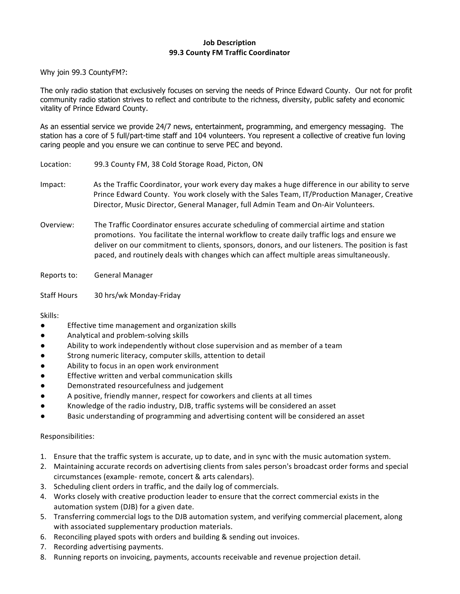## **Job Description 99.3 County FM Traffic Coordinator**

Why join 99.3 CountyFM?:

The only radio station that exclusively focuses on serving the needs of Prince Edward County. Our not for profit community radio station strives to reflect and contribute to the richness, diversity, public safety and economic vitality of Prince Edward County.

As an essential service we provide 24/7 news, entertainment, programming, and emergency messaging. The station has a core of 5 full/part-time staff and 104 volunteers. You represent a collective of creative fun loving caring people and you ensure we can continue to serve PEC and beyond.

- Location: 99.3 County FM, 38 Cold Storage Road, Picton, ON Impact: As the Traffic Coordinator, your work every day makes a huge difference in our ability to serve Prince Edward County. You work closely with the Sales Team, IT/Production Manager, Creative
- Overview: The Traffic Coordinator ensures accurate scheduling of commercial airtime and station promotions. You facilitate the internal workflow to create daily traffic logs and ensure we deliver on our commitment to clients, sponsors, donors, and our listeners. The position is fast paced, and routinely deals with changes which can affect multiple areas simultaneously.

Director, Music Director, General Manager, full Admin Team and On-Air Volunteers.

Reports to: General Manager

Staff Hours 30 hrs/wk Monday-Friday

Skills:

- **•** Effective time management and organization skills
- Analytical and problem-solving skills
- Ability to work independently without close supervision and as member of a team
- Strong numeric literacy, computer skills, attention to detail
- Ability to focus in an open work environment
- Effective written and verbal communication skills
- Demonstrated resourcefulness and judgement
- A positive, friendly manner, respect for coworkers and clients at all times
- Knowledge of the radio industry, DJB, traffic systems will be considered an asset
- Basic understanding of programming and advertising content will be considered an asset

## Responsibilities:

- 1. Ensure that the traffic system is accurate, up to date, and in sync with the music automation system.
- 2. Maintaining accurate records on advertising clients from sales person's broadcast order forms and special circumstances (example- remote, concert & arts calendars).
- 3. Scheduling client orders in traffic, and the daily log of commercials.
- 4. Works closely with creative production leader to ensure that the correct commercial exists in the automation system (DJB) for a given date.
- 5. Transferring commercial logs to the DJB automation system, and verifying commercial placement, along with associated supplementary production materials.
- 6. Reconciling played spots with orders and building & sending out invoices.
- 7. Recording advertising payments.
- 8. Running reports on invoicing, payments, accounts receivable and revenue projection detail.